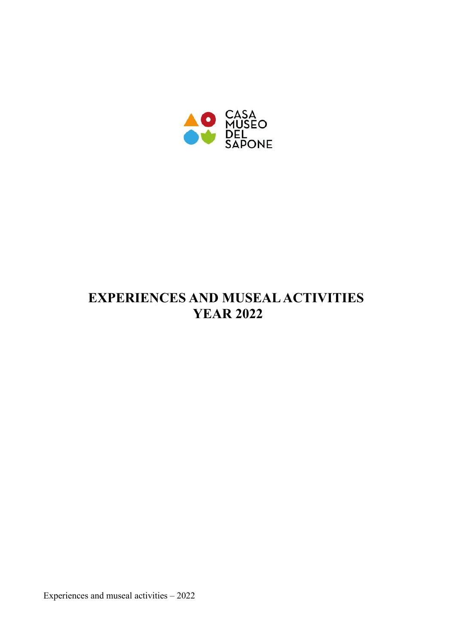

# **EXPERIENCES AND MUSEAL ACTIVITIES YEAR 2022**

Experiences and museal activities – 2022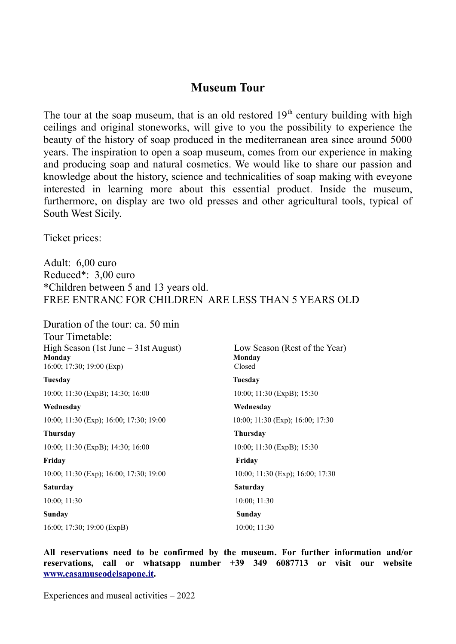### **Museum Tour**

The tour at the soap museum, that is an old restored  $19<sup>th</sup>$  century building with high ceilings and original stoneworks, will give to you the possibility to experience the beauty of the history of soap produced in the mediterranean area since around 5000 years. The inspiration to open a soap museum, comes from our experience in making and producing soap and natural cosmetics. We would like to share our passion and knowledge about the history, science and technicalities of soap making with eveyone interested in learning more about this essential product. Inside the museum, furthermore, on display are two old presses and other agricultural tools, typical of South West Sicily.

Ticket prices:

Adult: 6,00 euro Reduced\*: 3,00 euro \*Children between 5 and 13 years old. FREE ENTRANC FOR CHILDREN ARE LESS THAN 5 YEARS OLD

Duration of the tour: ca. 50 min Tour Timetable: High Season (1st June – 31st August) Low Season (Rest of the Year) **Monday**<br>16:00: 17:30: 19:00 (Exp) Closed 16:00; 17:30; 19:00 (Exp)

10:00; 11:30 (ExpB); 14:30; 16:00 10:00; 11:30 (ExpB); 15:30 **Wednesday Wednesday**

10:00; 11:30 (Exp); 16:00; 17:30; 19:00 10:00; 11:30 (Exp); 16:00; 17:30

**Thursday Thursday**  10:00; 11:30 (ExpB); 14:30; 16:00 10:00; 11:30 (ExpB); 15:30

**Friday Friday**  10:00; 11:30 (Exp); 16:00; 17:30; 19:00 10:00; 11:30 (Exp); 16:00; 17:30

**Sunday Sunday** 

16:00; 17:30; 19:00 (ExpB) 10:00; 11:30

**Tuesday Tuesday Saturday Saturday**  10:00; 11:30 10:00; 11:30

**All reservations need to be confirmed by the museum. For further information and/or reservations, call or whatsapp number +39 349 6087713 or visit our website www.casamuseodelsapone.it.**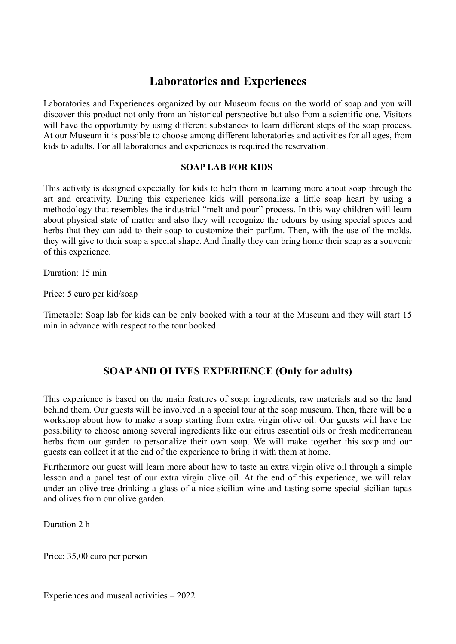## **Laboratories and Experiences**

Laboratories and Experiences organized by our Museum focus on the world of soap and you will discover this product not only from an historical perspective but also from a scientific one. Visitors will have the opportunity by using different substances to learn different steps of the soap process. At our Museum it is possible to choose among different laboratories and activities for all ages, from kids to adults. For all laboratories and experiences is required the reservation.

#### **SOAP LAB FOR KIDS**

This activity is designed expecially for kids to help them in learning more about soap through the art and creativity. During this experience kids will personalize a little soap heart by using a methodology that resembles the industrial "melt and pour" process. In this way children will learn about physical state of matter and also they will recognize the odours by using special spices and herbs that they can add to their soap to customize their parfum. Then, with the use of the molds, they will give to their soap a special shape. And finally they can bring home their soap as a souvenir of this experience.

Duration: 15 min

Price: 5 euro per kid/soap

Timetable: Soap lab for kids can be only booked with a tour at the Museum and they will start 15 min in advance with respect to the tour booked.

#### **SOAP AND OLIVES EXPERIENCE (Only for adults)**

This experience is based on the main features of soap: ingredients, raw materials and so the land behind them. Our guests will be involved in a special tour at the soap museum. Then, there will be a workshop about how to make a soap starting from extra virgin olive oil. Our guests will have the possibility to choose among several ingredients like our citrus essential oils or fresh mediterranean herbs from our garden to personalize their own soap. We will make together this soap and our guests can collect it at the end of the experience to bring it with them at home.

Furthermore our guest will learn more about how to taste an extra virgin olive oil through a simple lesson and a panel test of our extra virgin olive oil. At the end of this experience, we will relax under an olive tree drinking a glass of a nice sicilian wine and tasting some special sicilian tapas and olives from our olive garden.

Duration 2 h

Price: 35,00 euro per person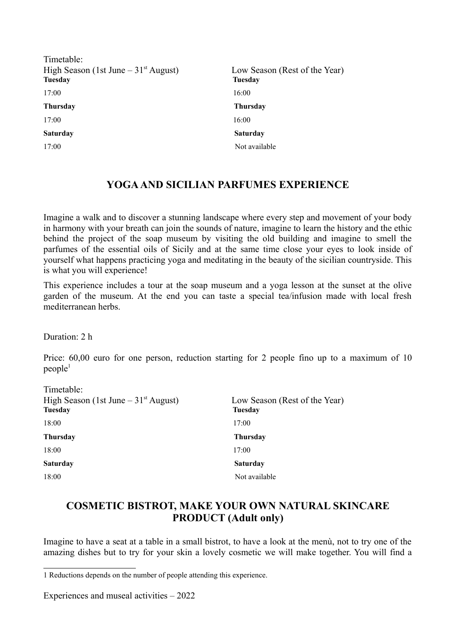| Timetable:<br>High Season (1st June $-31st$ August)<br><b>Tuesday</b> | Low Season (Rest of the Year)<br><b>Tuesday</b> |
|-----------------------------------------------------------------------|-------------------------------------------------|
| 17:00                                                                 | 16:00                                           |
| <b>Thursday</b>                                                       | <b>Thursday</b>                                 |
| 17:00                                                                 | 16:00                                           |
| <b>Saturday</b>                                                       | <b>Saturday</b>                                 |
| 17:00                                                                 | Not available                                   |
|                                                                       |                                                 |

#### **YOGA AND SICILIAN PARFUMES EXPERIENCE**

Imagine a walk and to discover a stunning landscape where every step and movement of your body in harmony with your breath can join the sounds of nature, imagine to learn the history and the ethic behind the project of the soap museum by visiting the old building and imagine to smell the parfumes of the essential oils of Sicily and at the same time close your eyes to look inside of yourself what happens practicing yoga and meditating in the beauty of the sicilian countryside. This is what you will experience!

This experience includes a tour at the soap museum and a yoga lesson at the sunset at the olive garden of the museum. At the end you can taste a special tea/infusion made with local fresh mediterranean herbs.

Duration: 2 h

Price: 60,00 euro for one person, reduction starting for 2 people fino up to a maximum of 10  $people<sup>1</sup>$ 

| Timetable:<br>High Season (1st June $-31$ <sup>st</sup> August)<br><b>Tuesday</b> | Low Season (Rest of the Year)<br><b>Tuesday</b> |
|-----------------------------------------------------------------------------------|-------------------------------------------------|
| 18:00                                                                             | 17:00                                           |
| <b>Thursday</b>                                                                   | <b>Thursday</b>                                 |
| 18:00                                                                             | 17:00                                           |
| <b>Saturday</b>                                                                   | <b>Saturday</b>                                 |
| 18:00                                                                             | Not available                                   |

#### **COSMETIC BISTROT, MAKE YOUR OWN NATURAL SKINCARE PRODUCT (Adult only)**

Imagine to have a seat at a table in a small bistrot, to have a look at the menù, not to try one of the amazing dishes but to try for your skin a lovely cosmetic we will make together. You will find a

<sup>1</sup> Reductions depends on the number of people attending this experience.

Experiences and museal activities – 2022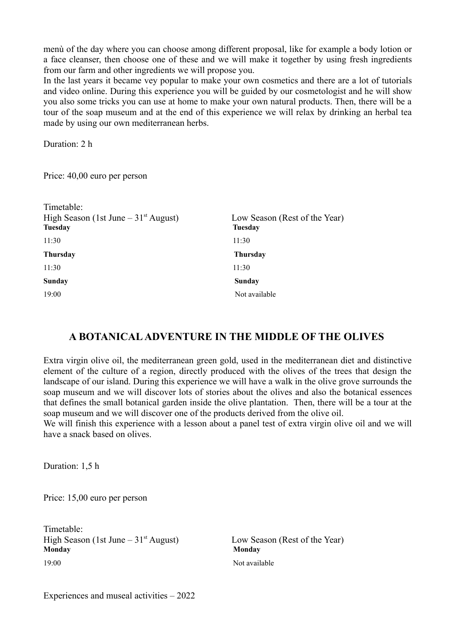menù of the day where you can choose among different proposal, like for example a body lotion or a face cleanser, then choose one of these and we will make it together by using fresh ingredients from our farm and other ingredients we will propose you.

In the last years it became vey popular to make your own cosmetics and there are a lot of tutorials and video online. During this experience you will be guided by our cosmetologist and he will show you also some tricks you can use at home to make your own natural products. Then, there will be a tour of the soap museum and at the end of this experience we will relax by drinking an herbal tea made by using our own mediterranean herbs.

Duration: 2 h

Price: 40,00 euro per person

| Timetable:<br>High Season (1st June $-31st$ August)<br><b>Tuesday</b> | Low Season (Rest of the Year)<br><b>Tuesday</b> |
|-----------------------------------------------------------------------|-------------------------------------------------|
| 11:30                                                                 | 11:30                                           |
| <b>Thursday</b>                                                       | <b>Thursday</b>                                 |
| 11:30                                                                 | 11:30                                           |
| Sunday                                                                | Sunday                                          |
| 19:00                                                                 | Not available                                   |

#### **A BOTANICAL ADVENTURE IN THE MIDDLE OF THE OLIVES**

Extra virgin olive oil, the mediterranean green gold, used in the mediterranean diet and distinctive element of the culture of a region, directly produced with the olives of the trees that design the landscape of our island. During this experience we will have a walk in the olive grove surrounds the soap museum and we will discover lots of stories about the olives and also the botanical essences that defines the small botanical garden inside the olive plantation. Then, there will be a tour at the soap museum and we will discover one of the products derived from the olive oil.

We will finish this experience with a lesson about a panel test of extra virgin olive oil and we will have a snack based on olives.

Duration: 1,5 h

Price: 15,00 euro per person

Timetable: High Season (1st June –  $31<sup>st</sup>$  August) Low Season (Rest of the Year) **Monday Monday** 19:00 Not available